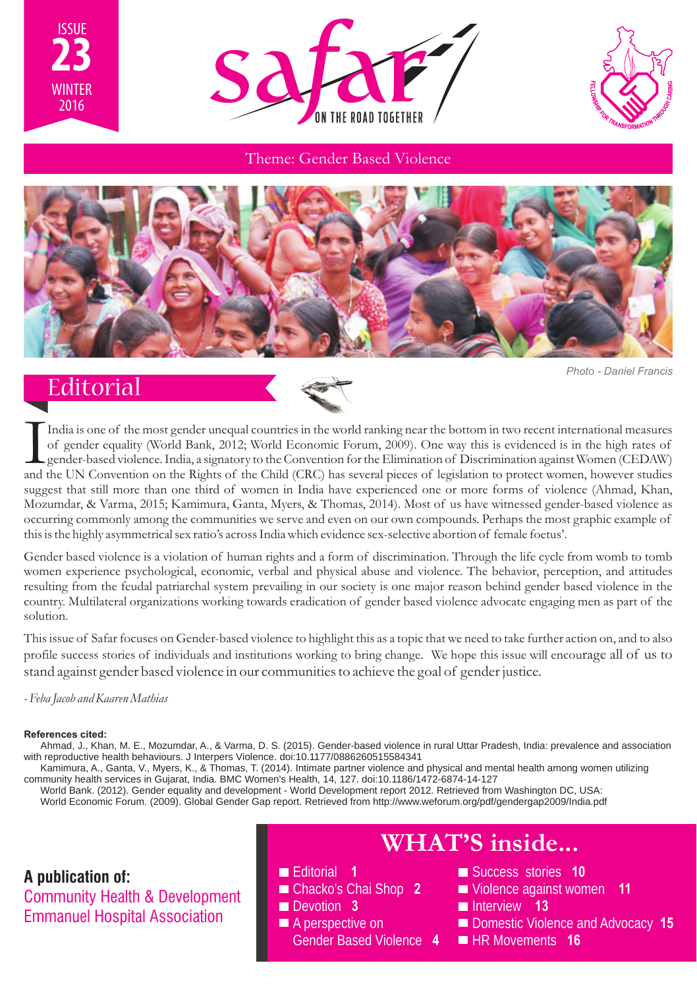





#### Theme: Gender Based Violence



*Photo - Daniel Francis*

## **Editorial**



India is one of the most gender unequal countries in the world ranking near the bottom in two recent international measures<br>of gender equality (World Bank, 2012; World Economic Forum, 2009). One way this is evidenced is in and the UN Convention on the Rights of the Child (CRC) has several pieces of legislation to protect women, however studies suggest that still more than one third of women in India have experienced one or more forms of violence (Ahmad, Khan, Mozumdar, & Varma, 2015; Kamimura, Ganta, Myers, & Thomas, 2014). Most of us have witnessed gender-based violence as occurring commonly among the communities we serve and even on our own compounds. Perhaps the most graphic example of this is the highly asymmetrical sex ratio's across India which evidence sex-selective abortion of female foetus'.

Gender based violence is a violation of human rights and a form of discrimination. Through the life cycle from womb to tomb women experience psychological, economic, verbal and physical abuse and violence. The behavior, perception, and attitudes resulting from the feudal patriarchal system prevailing in our society is one major reason behind gender based violence in the country. Multilateral organizations working towards eradication of gender based violence advocate engaging men as part of the solution.

This issue of Safar focuses on Gender-based violence to highlight this as a topic that we need to take further action on, and to also profile success stories of individuals and institutions working to bring change. We hope this issue will encourage all of us to stand against gender based violence in our communities to achieve the goal of gender justice.

#### *- Feba Jacob and Kaaren Mathias*

#### **References cited:**

Ahmad, J., Khan, M. E., Mozumdar, A., & Varma, D. S. (2015). Gender-based violence in rural Uttar Pradesh, India: prevalence and association with reproductive health behaviours. J Interpers Violence. doi:10.1177/0886260515584341

Kamimura, A., Ganta, V., Myers, K., & Thomas, T. (2014). Intimate partner violence and physical and mental health among women utilizing community health services in Gujarat, India. BMC Women's Health, 14, 127. doi:10.1186/1472-6874-14-127

World Bank. (2012). Gender equality and development - World Development report 2012. Retrieved from Washington DC, USA: World Economic Forum. (2009). Global Gender Gap report. Retrieved from http://www.weforum.org/pdf/gendergap2009/India.pdf

**A publication of:** Community Health & Development Emmanuel Hospital Association

Editorial **1** Chacko's Chai Shop **2 Devotion 3** ■ A perspective on Gender Based Violence **4**

- **WHAT'S inside...**
	- Success stories **10**
	- Violence against women **11**
	- **Interview 13**
	- **Domestic Violence and Advocacy 15**
	- **HR Movements 16**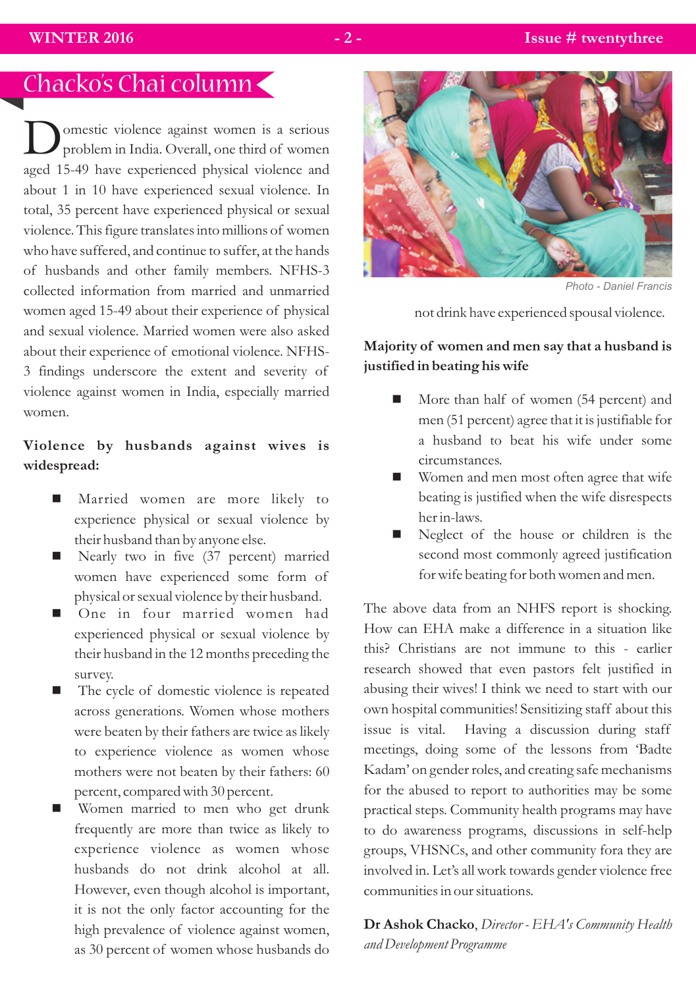# Chacko's Chai column

omestic violence against women is a serious<br>problem in India. Overall, one third of women aged 15-49 have experienced physical violence and about 1 in 10 have experienced sexual violence. In total, 35 percent have experienced physical or sexual violence. This figure translates into millions of women who have suffered, and continue to suffer, at the hands of husbands and other family members. NFHS-3 collected information from married and unmarried women aged 15-49 about their experience of physical and sexual violence. Married women were also asked about their experience of emotional violence. NFHS-3 findings underscore the extent and severity of violence against women in India, especially married women.

## **Violence by husbands against wives is widespread:**

- Married women are more likely to experience physical or sexual violence by their husband than by anyone else.
- Nearly two in five (37 percent) married women have experienced some form of physical or sexual violence by their husband.
- n One in four married women had experienced physical or sexual violence by their husband in the 12 months preceding the survey.
- The cycle of domestic violence is repeated across generations. Women whose mothers were beaten by their fathers are twice as likely to experience violence as women whose mothers were not beaten by their fathers: 60 percent, compared with 30 percent.
- Women married to men who get drunk frequently are more than twice as likely to experience violence as women whose husbands do not drink alcohol at all. However, even though alcohol is important, it is not the only factor accounting for the high prevalence of violence against women, as 30 percent of women whose husbands do



*Photo - Daniel Francis* 

not drink have experienced spousal violence.

### **Majority of women and men say that a husband is justified in beating his wife**

- $\blacksquare$  More than half of women (54 percent) and men (51 percent) agree that it is justifiable for a husband to beat his wife under some circumstances.
- Women and men most often agree that wife beating is justified when the wife disrespects her in-laws.
- Neglect of the house or children is the second most commonly agreed justification for wife beating for both women and men.

The above data from an NHFS report is shocking. How can EHA make a difference in a situation like this? Christians are not immune to this - earlier research showed that even pastors felt justified in abusing their wives! I think we need to start with our own hospital communities! Sensitizing staff about this issue is vital. Having a discussion during staff meetings, doing some of the lessons from 'Badte Kadam' on gender roles, and creating safe mechanisms for the abused to report to authorities may be some practical steps. Community health programs may have to do awareness programs, discussions in self-help groups, VHSNCs, and other community fora they are involved in. Let's all work towards gender violence free communities in our situations.

**Dr Ashok Chacko**, *Director - EHA's Community Health and Development Programme*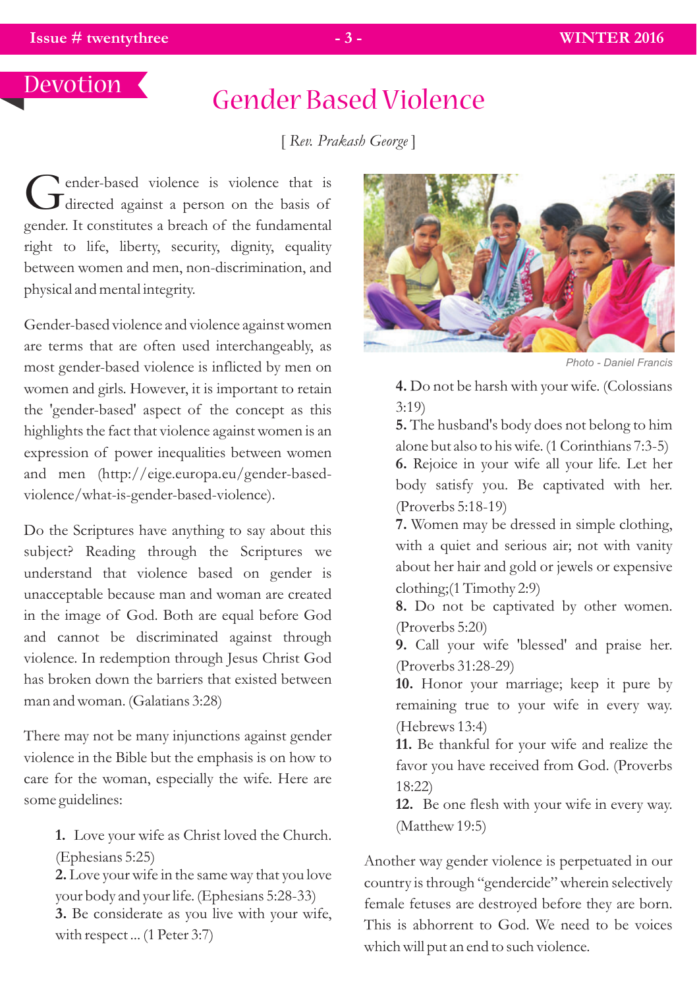## Devotion

# Gender Based Violence

[ *Rev. Prakash George* ]

ender-based violence is violence that is  $\mathbf J$  directed against a person on the basis of gender. It constitutes a breach of the fundamental right to life, liberty, security, dignity, equality between women and men, non-discrimination, and physical and mental integrity.

Gender-based violence and violence against women are terms that are often used interchangeably, as most gender-based violence is inflicted by men on women and girls. However, it is important to retain the 'gender-based' aspect of the concept as this highlights the fact that violence against women is an expression of power inequalities between women and men (http://eige.europa.eu/gender-basedviolence/what-is-gender-based-violence).

Do the Scriptures have anything to say about this subject? Reading through the Scriptures we understand that violence based on gender is unacceptable because man and woman are created in the image of God. Both are equal before God and cannot be discriminated against through violence. In redemption through Jesus Christ God has broken down the barriers that existed between man and woman. (Galatians 3:28)

There may not be many injunctions against gender violence in the Bible but the emphasis is on how to care for the woman, especially the wife. Here are some guidelines:

**1.** Love your wife as Christ loved the Church. (Ephesians 5:25)

**2.** Love your wife in the same way that you love your body and your life. (Ephesians 5:28-33)

**3.** Be considerate as you live with your wife, with respect ... (1 Peter 3:7)



*Photo - Daniel Francis* 

**4.** Do not be harsh with your wife. (Colossians 3:19)

**5.** The husband's body does not belong to him alone but also to his wife. (1 Corinthians 7:3-5) **6.** Rejoice in your wife all your life. Let her body satisfy you. Be captivated with her. (Proverbs 5:18-19)

**7.** Women may be dressed in simple clothing, with a quiet and serious air; not with vanity about her hair and gold or jewels or expensive clothing;(1 Timothy 2:9)

**8.** Do not be captivated by other women. (Proverbs 5:20)

**9.** Call your wife 'blessed' and praise her. (Proverbs 31:28-29)

**10.** Honor your marriage; keep it pure by remaining true to your wife in every way. (Hebrews 13:4)

**11.** Be thankful for your wife and realize the favor you have received from God. (Proverbs 18:22)

**12.** Be one flesh with your wife in every way. (Matthew 19:5)

Another way gender violence is perpetuated in our country is through "gendercide" wherein selectively female fetuses are destroyed before they are born. This is abhorrent to God. We need to be voices which will put an end to such violence.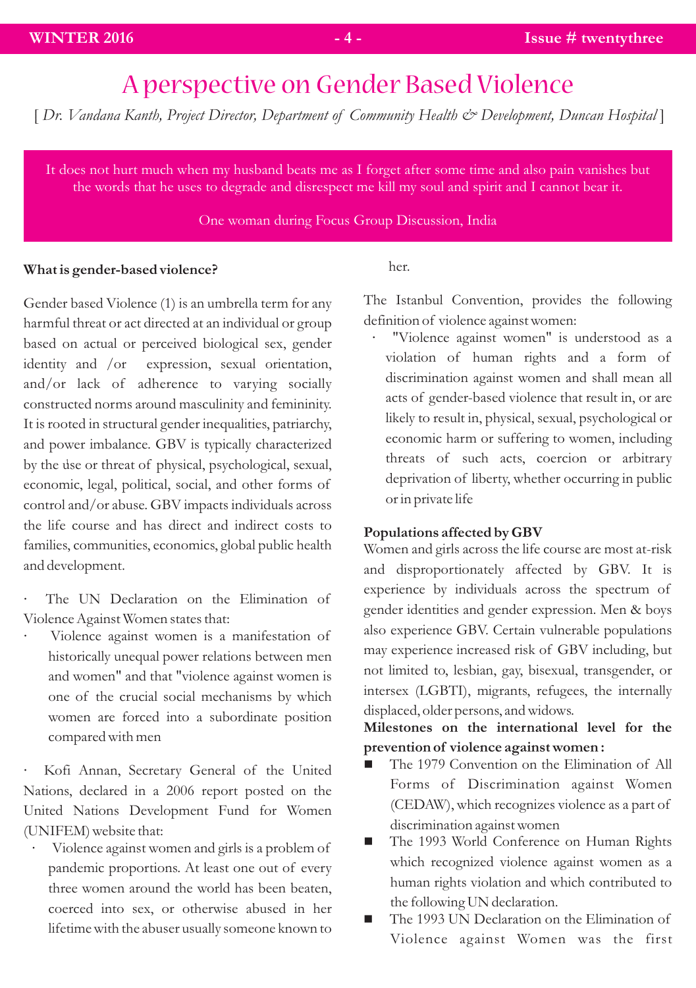# A perspective on Gender Based Violence

[ *Dr. Vandana Kanth, Project Director, Department of Community Health & Development, Duncan Hospital* ]

It does not hurt much when my husband beats me as I forget after some time and also pain vanishes but the words that he uses to degrade and disrespect me kill my soul and spirit and I cannot bear it.

#### One woman during Focus Group Discussion, India

#### **What is gender-based violence?**

Gender based Violence (1) is an umbrella term for any harmful threat or act directed at an individual or group based on actual or perceived biological sex, gender identity and /or expression, sexual orientation, and/or lack of adherence to varying socially constructed norms around masculinity and femininity. It is rooted in structural gender inequalities, patriarchy, and power imbalance. GBV is typically characterized by the use or threat of physical, psychological, sexual, 1 economic, legal, political, social, and other forms of control and/or abuse. GBV impacts individuals across the life course and has direct and indirect costs to families, communities, economics, global public health and development.

- The UN Declaration on the Elimination of Violence Against Women states that:
- · Violence against women is a manifestation of historically unequal power relations between men and women" and that "violence against women is one of the crucial social mechanisms by which women are forced into a subordinate position compared with men

· Kofi Annan, Secretary General of the United Nations, declared in a 2006 report posted on the United Nations Development Fund for Women (UNIFEM) website that:

Violence against women and girls is a problem of ? pandemic proportions. At least one out of every three women around the world has been beaten, coerced into sex, or otherwise abused in her lifetime with the abuser usually someone known to her.

The Istanbul Convention, provides the following definition of violence against women:

· "Violence against women" is understood as a violation of human rights and a form of discrimination against women and shall mean all acts of gender-based violence that result in, or are likely to result in, physical, sexual, psychological or economic harm or suffering to women, including threats of such acts, coercion or arbitrary deprivation of liberty, whether occurring in public or in private life

#### **Populations affected by GBV**

Women and girls across the life course are most at-risk and disproportionately affected by GBV. It is experience by individuals across the spectrum of gender identities and gender expression. Men & boys also experience GBV. Certain vulnerable populations may experience increased risk of GBV including, but not limited to, lesbian, gay, bisexual, transgender, or intersex (LGBTI), migrants, refugees, the internally displaced, older persons, and widows.

**Milestones on the international level for the** 

- **prevention of violence against women:**<br> **The 1979 Convention on the Elimination of All** Forms of Discrimination against Women (CEDAW), which recognizes violence as a part of
- discrimination against women<br>■ The 1993 World Conference on Human Rights which recognized violence against women as a human rights violation and which contributed to
- the following UN declaration.<br>■ The 1993 UN Declaration on the Elimination of Violence against Women was the first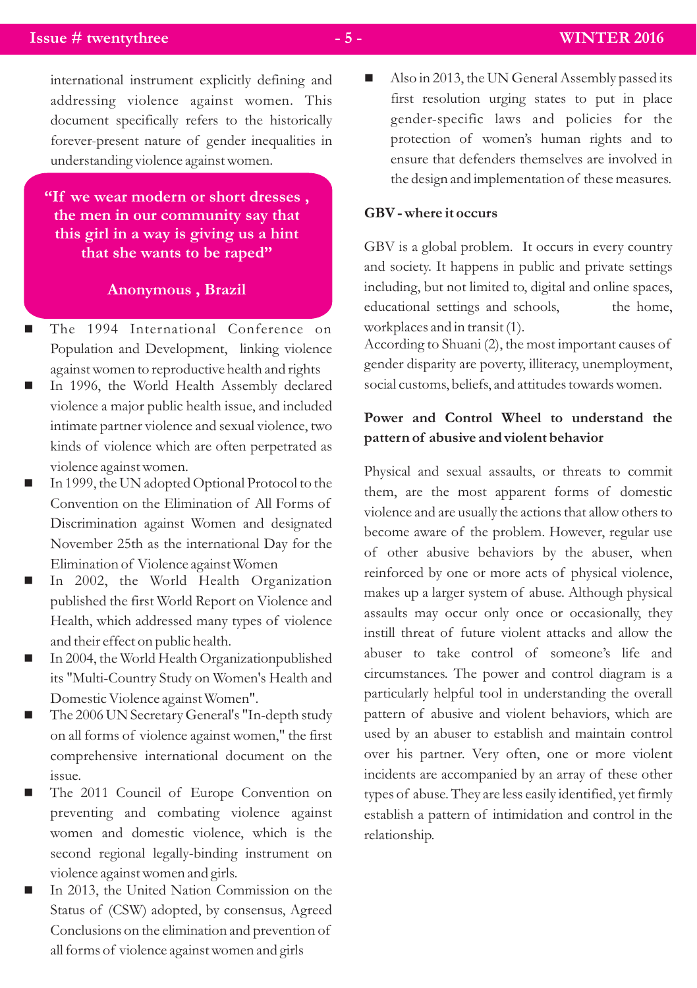#### **Issue # twentythree**   $\overline{\phantom{a}}$  **- 5 -** WINTER 2016

international instrument explicitly defining and addressing violence against women. This document specifically refers to the historically forever-present nature of gender inequalities in understanding violence against women.

**"If we wear modern or short dresses , the men in our community say that this girl in a way is giving us a hint that she wants to be raped"** 

#### **Anonymous , Brazil**

- The 1994 International Conference on Population and Development, linking violence
- nagainst women to reproductive health and rights In 1996, the World Health Assembly declared violence a major public health issue, and included intimate partner violence and sexual violence, two kinds of violence which are often perpetrated as
- violence against women.<br>
In 1999, the UN adopted Optional Protocol to the Convention on the Elimination of All Forms of Discrimination against Women and designated November 25th as the international Day for the
- nElimination of Violence against Women In 2002, the World Health Organization published the first World Report on Violence and Health, which addressed many types of violence
- and their effect on public health.<br>■ In 2004, the World Health Organizationpublished its "Multi-Country Study on Women's Health and
- Domestic Violence against Women".<br>■ The 2006 UN Secretary General's "In-depth study on all forms of violence against women," the first comprehensive international document on the
- nissue. The 2011 Council of Europe Convention on preventing and combating violence against women and domestic violence, which is the second regional legally-binding instrument on
- violence against women and girls.<br>
In 2013, the United Nation Commission on the Status of (CSW) adopted, by consensus, Agreed Conclusions on the elimination and prevention of all forms of violence against women and girls

Also in 2013, the UN General Assembly passed its first resolution urging states to put in place gender-specific laws and policies for the protection of women's human rights and to ensure that defenders themselves are involved in the design and implementation of these measures.

#### **GBV - where it occurs**

GBV is a global problem. It occurs in every country and society. It happens in public and private settings including, but not limited to, digital and online spaces, educational settings and schools, the home, workplaces and in transit (1).

According to Shuani (2), the most important causes of gender disparity are poverty, illiteracy, unemployment, social customs, beliefs, and attitudes towards women.

### **Power and Control Wheel to understand the pattern of abusive and violent behavior**

Physical and sexual assaults, or threats to commit them, are the most apparent forms of domestic violence and are usually the actions that allow others to become aware of the problem. However, regular use of other abusive behaviors by the abuser, when reinforced by one or more acts of physical violence, makes up a larger system of abuse. Although physical assaults may occur only once or occasionally, they instill threat of future violent attacks and allow the abuser to take control of someone's life and circumstances. The power and control diagram is a particularly helpful tool in understanding the overall pattern of abusive and violent behaviors, which are used by an abuser to establish and maintain control over his partner. Very often, one or more violent incidents are accompanied by an array of these other types of abuse. They are less easily identified, yet firmly establish a pattern of intimidation and control in the relationship.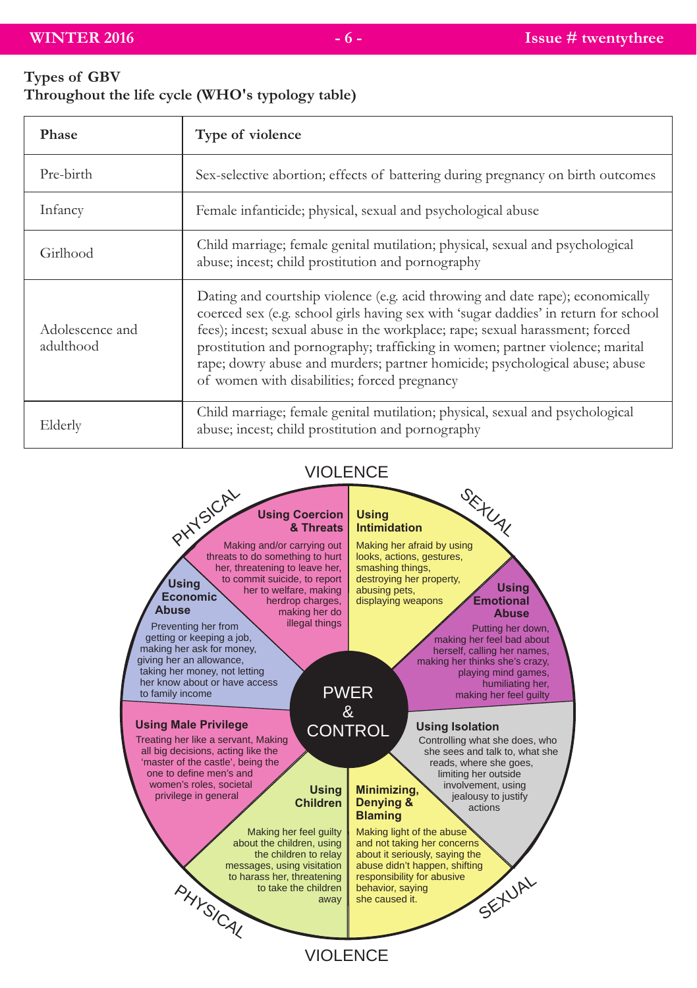# **Types of GBV**

| Throughout the life cycle (WHO's typology table) |  |  |  |  |
|--------------------------------------------------|--|--|--|--|
|--------------------------------------------------|--|--|--|--|

| Phase                        | Type of violence                                                                                                                                                                                                                                                                                                                                                                                                                                                       |
|------------------------------|------------------------------------------------------------------------------------------------------------------------------------------------------------------------------------------------------------------------------------------------------------------------------------------------------------------------------------------------------------------------------------------------------------------------------------------------------------------------|
| Pre-birth                    | Sex-selective abortion; effects of battering during pregnancy on birth outcomes                                                                                                                                                                                                                                                                                                                                                                                        |
| Infancy                      | Female infanticide; physical, sexual and psychological abuse                                                                                                                                                                                                                                                                                                                                                                                                           |
| Girlhood                     | Child marriage; female genital mutilation; physical, sexual and psychological<br>abuse; incest; child prostitution and pornography                                                                                                                                                                                                                                                                                                                                     |
| Adolescence and<br>adulthood | Dating and courtship violence (e.g. acid throwing and date rape); economically<br>coerced sex (e.g. school girls having sex with 'sugar daddies' in return for school<br>fees); incest; sexual abuse in the workplace; rape; sexual harassment; forced<br>prostitution and pornography; trafficking in women; partner violence; marital<br>rape; dowry abuse and murders; partner homicide; psychological abuse; abuse<br>of women with disabilities; forced pregnancy |
| Elderly                      | Child marriage; female genital mutilation; physical, sexual and psychological<br>abuse; incest; child prostitution and pornography                                                                                                                                                                                                                                                                                                                                     |

## VIOLENCE

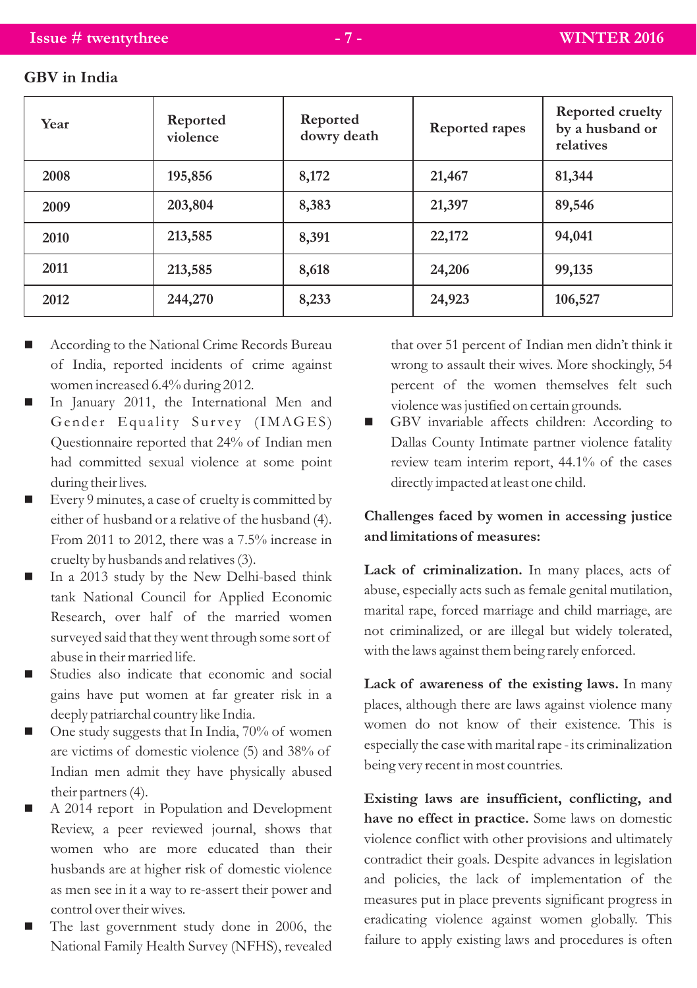| Year | Reported<br>violence | Reported<br>dowry death | Reported rapes | Reported cruelty<br>by a husband or<br>relatives |
|------|----------------------|-------------------------|----------------|--------------------------------------------------|
| 2008 | 195,856              | 8,172                   | 21,467         | 81,344                                           |
| 2009 | 203,804              | 8,383                   | 21,397         | 89,546                                           |
| 2010 | 213,585              | 8,391                   | 22,172         | 94,041                                           |
| 2011 | 213,585              | 8,618                   | 24,206         | 99,135                                           |
| 2012 | 244,270              | 8,233                   | 24,923         | 106,527                                          |

#### **GBV in India**

- According to the National Crime Records Bureau of India, reported incidents of crime against women increased 6.4% during 2012.
- n In January 2011, the International Men and Gender Equality Survey (IMAGES) Questionnaire reported that 24% of Indian men had committed sexual violence at some point during their lives.
- Every 9 minutes, a case of cruelty is committed by either of husband or a relative of the husband (4). From 2011 to 2012, there was a 7.5% increase in cruelty by husbands and relatives (3).
- In a 2013 study by the New Delhi-based think tank National Council for Applied Economic Research, over half of the married women surveyed said that they went through some sort of abuse in their married life.
- Studies also indicate that economic and social gains have put women at far greater risk in a deeply patriarchal country like India.
- One study suggests that In India, 70% of women are victims of domestic violence (5) and 38% of Indian men admit they have physically abused their partners (4).
- A 2014 report in Population and Development Review, a peer reviewed journal, shows that women who are more educated than their husbands are at higher risk of domestic violence as men see in it a way to re-assert their power and control over their wives.
- The last government study done in 2006, the National Family Health Survey (NFHS), revealed

that over 51 percent of Indian men didn't think it wrong to assault their wives. More shockingly, 54 percent of the women themselves felt such violence was justified on certain grounds.

■ GBV invariable affects children: According to Dallas County Intimate partner violence fatality review team interim report, 44.1% of the cases directly impacted at least one child.

#### **Challenges faced by women in accessing justice and limitations of measures:**

**Lack of criminalization.** In many places, acts of abuse, especially acts such as female genital mutilation, marital rape, forced marriage and child marriage, are not criminalized, or are illegal but widely tolerated, with the laws against them being rarely enforced.

**Lack of awareness of the existing laws.** In many places, although there are laws against violence many women do not know of their existence. This is especially the case with marital rape - its criminalization being very recent in most countries.

**Existing laws are insufficient, conflicting, and have no effect in practice.** Some laws on domestic violence conflict with other provisions and ultimately contradict their goals. Despite advances in legislation and policies, the lack of implementation of the measures put in place prevents significant progress in eradicating violence against women globally. This failure to apply existing laws and procedures is often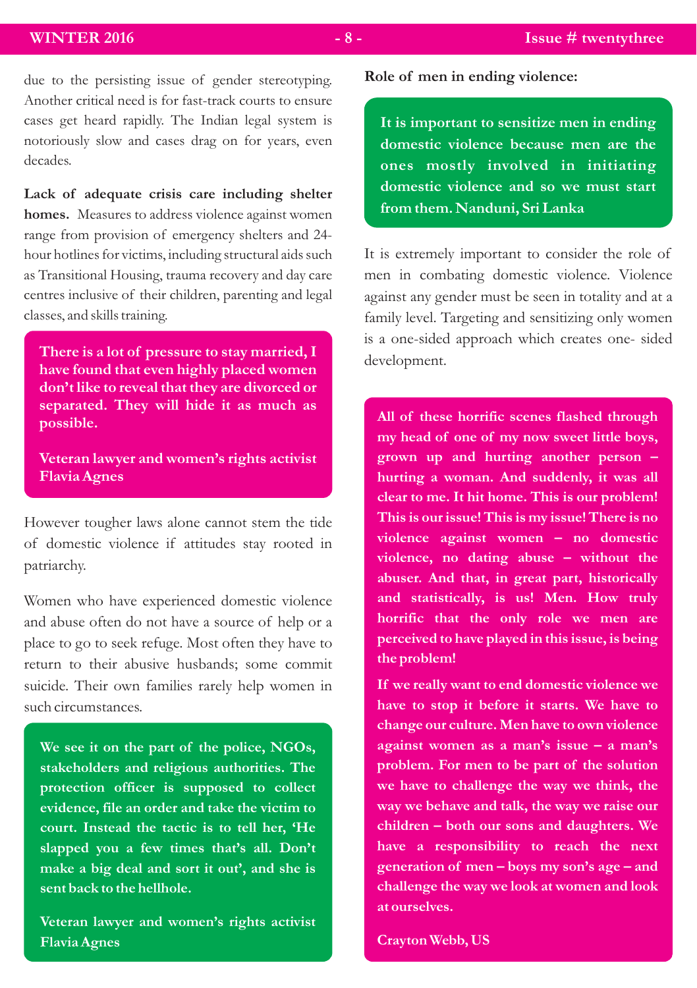due to the persisting issue of gender stereotyping. Another critical need is for fast-track courts to ensure cases get heard rapidly. The Indian legal system is notoriously slow and cases drag on for years, even decades.

**Lack of adequate crisis care including shelter homes.** Measures to address violence against women range from provision of emergency shelters and 24 hour hotlines for victims, including structural aids such as Transitional Housing, trauma recovery and day care centres inclusive of their children, parenting and legal classes, and skills training.

**There is a lot of pressure to stay married, I have found that even highly placed women don't like to reveal that they are divorced or separated. They will hide it as much as possible.**

**Veteran lawyer and women's rights activist Flavia Agnes**

However tougher laws alone cannot stem the tide of domestic violence if attitudes stay rooted in patriarchy.

Women who have experienced domestic violence and abuse often do not have a source of help or a place to go to seek refuge. Most often they have to return to their abusive husbands; some commit suicide. Their own families rarely help women in such circumstances.

**We see it on the part of the police, NGOs, stakeholders and religious authorities. The protection officer is supposed to collect evidence, file an order and take the victim to court. Instead the tactic is to tell her, 'He slapped you a few times that's all. Don't make a big deal and sort it out', and she is sent back to the hellhole.**

**Veteran lawyer and women's rights activist Flavia Agnes**

**It is important to sensitize men in ending domestic violence because men are the ones mostly involved in initiating domestic violence and so we must start from them. Nanduni, Sri Lanka**

It is extremely important to consider the role of men in combating domestic violence. Violence against any gender must be seen in totality and at a family level. Targeting and sensitizing only women is a one-sided approach which creates one- sided development.

**All of these horrific scenes flashed through my head of one of my now sweet little boys, grown up and hurting another person – hurting a woman. And suddenly, it was all clear to me. It hit home. This is our problem! This is our issue! This is my issue! There is no violence against women – no domestic violence, no dating abuse – without the abuser. And that, in great part, historically and statistically, is us! Men. How truly horrific that the only role we men are perceived to have played in this issue, is being the problem!**

**If we really want to end domestic violence we have to stop it before it starts. We have to change our culture. Men have to own violence against women as a man's issue – a man's problem. For men to be part of the solution we have to challenge the way we think, the way we behave and talk, the way we raise our children – both our sons and daughters. We have a responsibility to reach the next generation of men – boys my son's age – and challenge the way we look at women and look at ourselves.**

**Crayton Webb, US**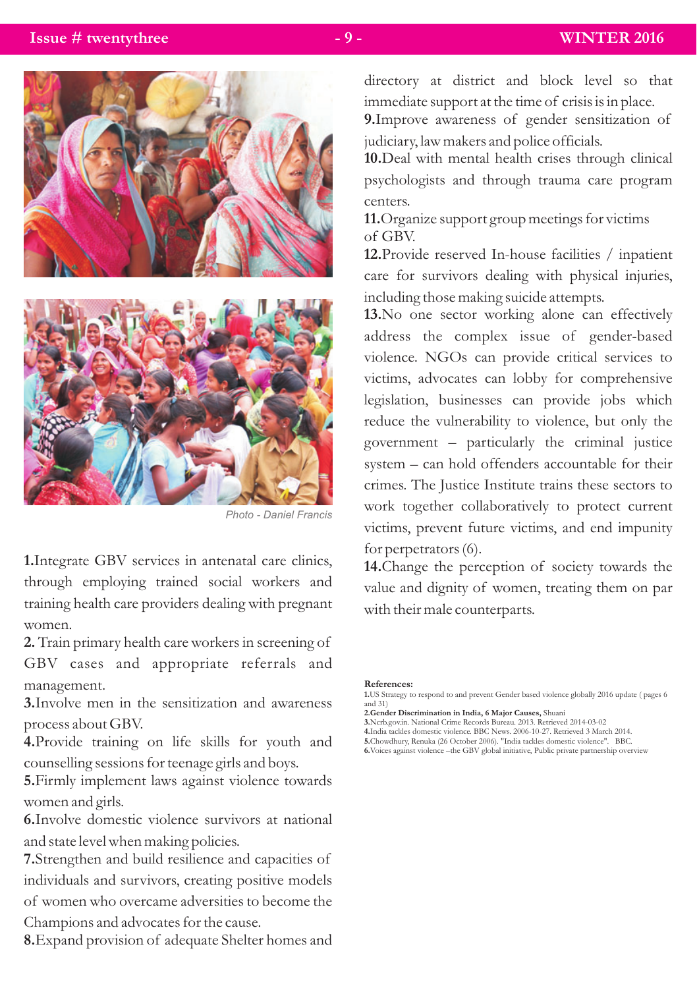

*Photo - Daniel Francis* 

**1.**Integrate GBV services in antenatal care clinics, through employing trained social workers and training health care providers dealing with pregnant women.

**2.** Train primary health care workers in screening of GBV cases and appropriate referrals and management.

**3.**Involve men in the sensitization and awareness process about GBV.

**4.**Provide training on life skills for youth and counselling sessions for teenage girls and boys.

**5.**Firmly implement laws against violence towards women and girls.

**6.**Involve domestic violence survivors at national and state level when making policies.

**7.**Strengthen and build resilience and capacities of individuals and survivors, creating positive models of women who overcame adversities to become the Champions and advocates for the cause.

**8.**Expand provision of adequate Shelter homes and

directory at district and block level so that immediate support at the time of crisis is in place.

**9.**Improve awareness of gender sensitization of judiciary, law makers and police officials.

**10.**Deal with mental health crises through clinical psychologists and through trauma care program centers.

**11.**Organize support group meetings for victims of GBV.

**12.**Provide reserved In-house facilities / inpatient care for survivors dealing with physical injuries, including those making suicide attempts.

**13.**No one sector working alone can effectively address the complex issue of gender-based violence. NGOs can provide critical services to victims, advocates can lobby for comprehensive legislation, businesses can provide jobs which reduce the vulnerability to violence, but only the government – particularly the criminal justice system – can hold offenders accountable for their crimes. The Justice Institute trains these sectors to work together collaboratively to protect current victims, prevent future victims, and end impunity for perpetrators (6).

**14.**Change the perception of society towards the value and dignity of women, treating them on par with their male counterparts.

#### **References:**

- **2.Gender Discrimination in India, 6 Major Causes,** Shuani
- **3.**Ncrb.gov.in. National Crime Records Bureau. 2013. Retrieved 2014-03-02 **4.**India tackles domestic violence. BBC News. 2006-10-27. Retrieved 3 March 2014.
- 
- **5.**Chowdhury, Renuka (26 October 2006). "India tackles domestic violence". BBC.

**6.**Voices against violence –the GBV global initiative, Public private partnership overview

**<sup>1.</sup>**US Strategy to respond to and prevent Gender based violence globally 2016 update ( pages 6 and 31)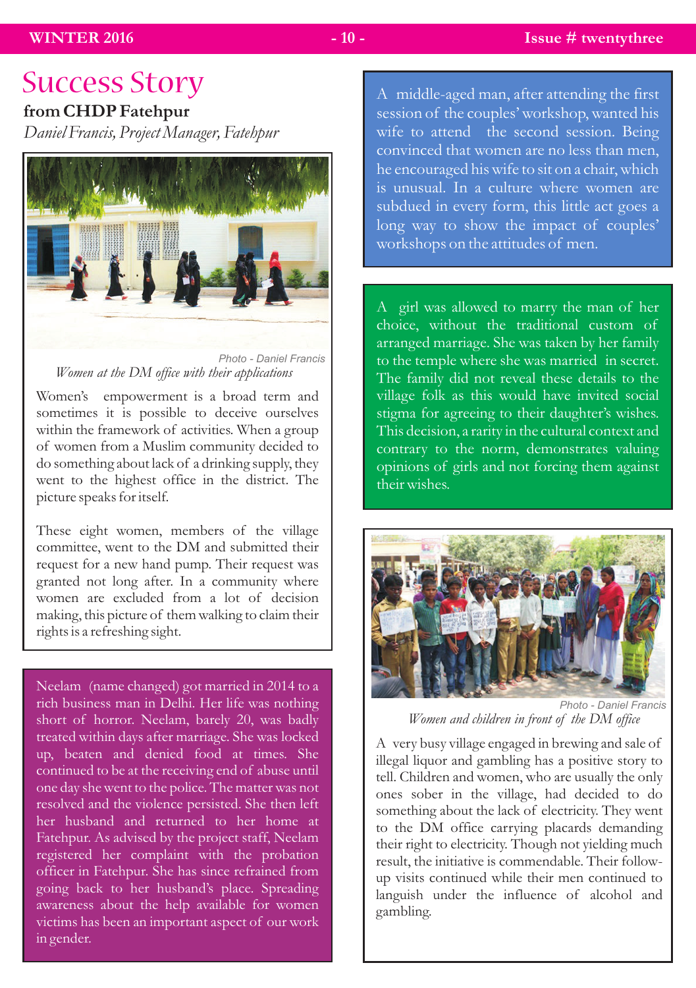# Success Story

## **from CHDP Fatehpur**

*Daniel Francis, Project Manager, Fatehpur*



*Women at the DM office with their applications Photo - Daniel Francis* 

Women's empowerment is a broad term and sometimes it is possible to deceive ourselves within the framework of activities. When a group of women from a Muslim community decided to do something about lack of a drinking supply, they went to the highest office in the district. The picture speaks for itself.

These eight women, members of the village committee, went to the DM and submitted their request for a new hand pump. Their request was granted not long after. In a community where women are excluded from a lot of decision making, this picture of them walking to claim their rights is a refreshing sight.

Neelam (name changed) got married in 2014 to a rich business man in Delhi. Her life was nothing short of horror. Neelam, barely 20, was badly treated within days after marriage. She was locked up, beaten and denied food at times. She continued to be at the receiving end of abuse until one day she went to the police. The matter was not resolved and the violence persisted. She then left her husband and returned to her home at Fatehpur. As advised by the project staff, Neelam registered her complaint with the probation officer in Fatehpur. She has since refrained from going back to her husband's place. Spreading awareness about the help available for women victims has been an important aspect of our work in gender.

A middle-aged man, after attending the first session of the couples' workshop, wanted his wife to attend the second session. Being convinced that women are no less than men, he encouraged his wife to sit on a chair, which is unusual. In a culture where women are subdued in every form, this little act goes a long way to show the impact of couples' workshops on the attitudes of men.

A girl was allowed to marry the man of her choice, without the traditional custom of arranged marriage. She was taken by her family to the temple where she was married in secret. The family did not reveal these details to the village folk as this would have invited social stigma for agreeing to their daughter's wishes. This decision, a rarity in the cultural context and contrary to the norm, demonstrates valuing opinions of girls and not forcing them against their wishes.



*Women and children in front of the DM office Photo - Daniel Francis* 

A very busy village engaged in brewing and sale of illegal liquor and gambling has a positive story to tell. Children and women, who are usually the only ones sober in the village, had decided to do something about the lack of electricity. They went to the DM office carrying placards demanding their right to electricity. Though not yielding much result, the initiative is commendable. Their followup visits continued while their men continued to languish under the influence of alcohol and gambling.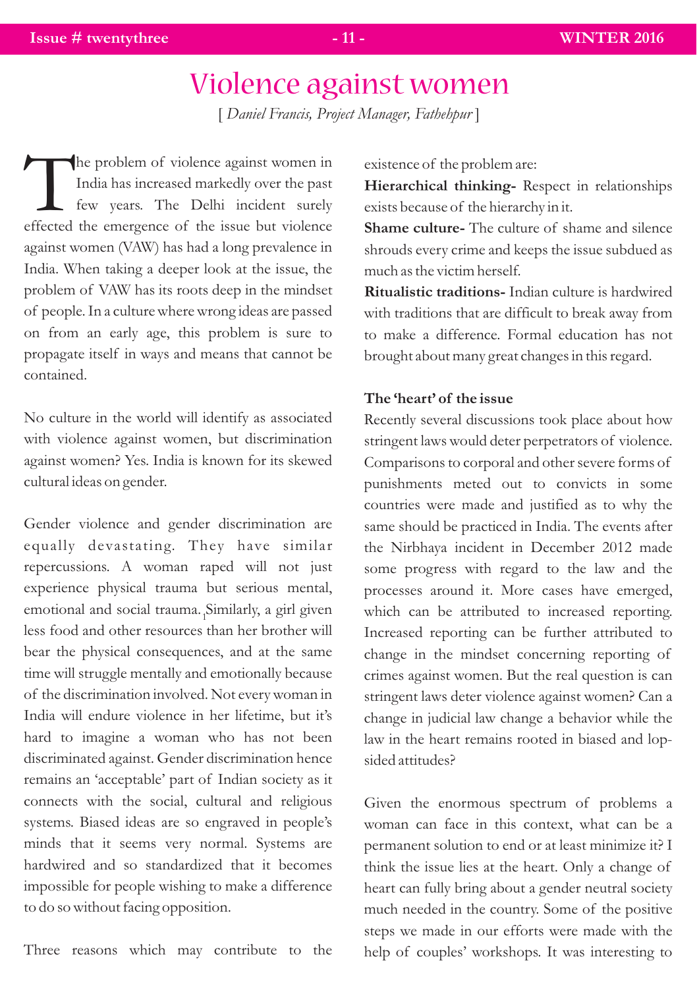# Violence against women

[ *Daniel Francis, Project Manager, Fathehpur* ]

he problem of violence against women in TIndia has increased markedly over the past few years. The Delhi incident surely effected the emergence of the issue but violence against women (VAW) has had a long prevalence in India. When taking a deeper look at the issue, the problem of VAW has its roots deep in the mindset of people. In a culture where wrong ideas are passed on from an early age, this problem is sure to propagate itself in ways and means that cannot be contained.

No culture in the world will identify as associated with violence against women, but discrimination against women? Yes. India is known for its skewed cultural ideas on gender.

Gender violence and gender discrimination are equally devastating. They have similar repercussions. A woman raped will not just experience physical trauma but serious mental, emotional and social trauma. Similarly, a girl given 1 less food and other resources than her brother will bear the physical consequences, and at the same time will struggle mentally and emotionally because of the discrimination involved. Not every woman in India will endure violence in her lifetime, but it's hard to imagine a woman who has not been discriminated against. Gender discrimination hence remains an 'acceptable' part of Indian society as it connects with the social, cultural and religious systems. Biased ideas are so engraved in people's minds that it seems very normal. Systems are hardwired and so standardized that it becomes impossible for people wishing to make a difference to do so without facing opposition.

Three reasons which may contribute to the

existence of the problem are:

**Hierarchical thinking-** Respect in relationships exists because of the hierarchy in it.

**Shame culture-** The culture of shame and silence shrouds every crime and keeps the issue subdued as much as the victim herself.

**Ritualistic traditions-** Indian culture is hardwired with traditions that are difficult to break away from to make a difference. Formal education has not brought about many great changes in this regard.

#### **The 'heart' of the issue**

Recently several discussions took place about how stringent laws would deter perpetrators of violence. Comparisons to corporal and other severe forms of punishments meted out to convicts in some countries were made and justified as to why the same should be practiced in India. The events after the Nirbhaya incident in December 2012 made some progress with regard to the law and the processes around it. More cases have emerged, which can be attributed to increased reporting. Increased reporting can be further attributed to change in the mindset concerning reporting of crimes against women. But the real question is can stringent laws deter violence against women? Can a change in judicial law change a behavior while the law in the heart remains rooted in biased and lopsided attitudes?

Given the enormous spectrum of problems a woman can face in this context, what can be a permanent solution to end or at least minimize it? I think the issue lies at the heart. Only a change of heart can fully bring about a gender neutral society much needed in the country. Some of the positive steps we made in our efforts were made with the help of couples' workshops. It was interesting to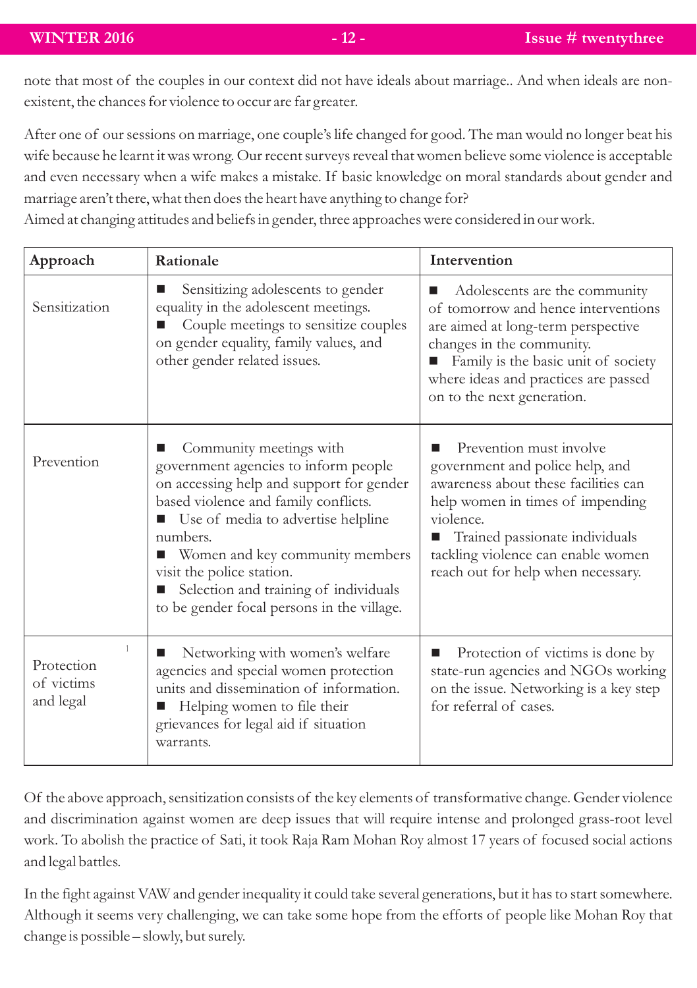note that most of the couples in our context did not have ideals about marriage.. And when ideals are nonexistent, the chances for violence to occur are far greater.

After one of our sessions on marriage, one couple's life changed for good. The man would no longer beat his wife because he learnt it was wrong. Our recent surveys reveal that women believe some violence is acceptable and even necessary when a wife makes a mistake. If basic knowledge on moral standards about gender and marriage aren't there, what then does the heart have anything to change for?

Aimed at changing attitudes and beliefs in gender, three approaches were considered in our work.

| Approach                              | Rationale                                                                                                                                                                                                                                                                                                                                                      | Intervention                                                                                                                                                                                                                                                           |
|---------------------------------------|----------------------------------------------------------------------------------------------------------------------------------------------------------------------------------------------------------------------------------------------------------------------------------------------------------------------------------------------------------------|------------------------------------------------------------------------------------------------------------------------------------------------------------------------------------------------------------------------------------------------------------------------|
| Sensitization                         | Sensitizing adolescents to gender<br>equality in the adolescent meetings.<br>Couple meetings to sensitize couples<br>on gender equality, family values, and<br>other gender related issues.                                                                                                                                                                    | Adolescents are the community<br>of tomorrow and hence interventions<br>are aimed at long-term perspective<br>changes in the community.<br>Family is the basic unit of society<br>■<br>where ideas and practices are passed<br>on to the next generation.              |
| Prevention                            | Community meetings with<br>government agencies to inform people<br>on accessing help and support for gender<br>based violence and family conflicts.<br>■ Use of media to advertise helpline<br>numbers.<br>Women and key community members<br>visit the police station.<br>Selection and training of individuals<br>to be gender focal persons in the village. | Prevention must involve<br>government and police help, and<br>awareness about these facilities can<br>help women in times of impending<br>violence.<br>Trained passionate individuals<br>ш<br>tackling violence can enable women<br>reach out for help when necessary. |
| Protection<br>of victims<br>and legal | Networking with women's welfare<br>agencies and special women protection<br>units and dissemination of information.<br>Helping women to file their<br>grievances for legal aid if situation<br>warrants.                                                                                                                                                       | Protection of victims is done by<br>■<br>state-run agencies and NGOs working<br>on the issue. Networking is a key step<br>for referral of cases.                                                                                                                       |

Of the above approach, sensitization consists of the key elements of transformative change. Gender violence and discrimination against women are deep issues that will require intense and prolonged grass-root level work. To abolish the practice of Sati, it took Raja Ram Mohan Roy almost 17 years of focused social actions and legal battles.

In the fight against VAW and gender inequality it could take several generations, but it has to start somewhere. Although it seems very challenging, we can take some hope from the efforts of people like Mohan Roy that change is possible – slowly, but surely.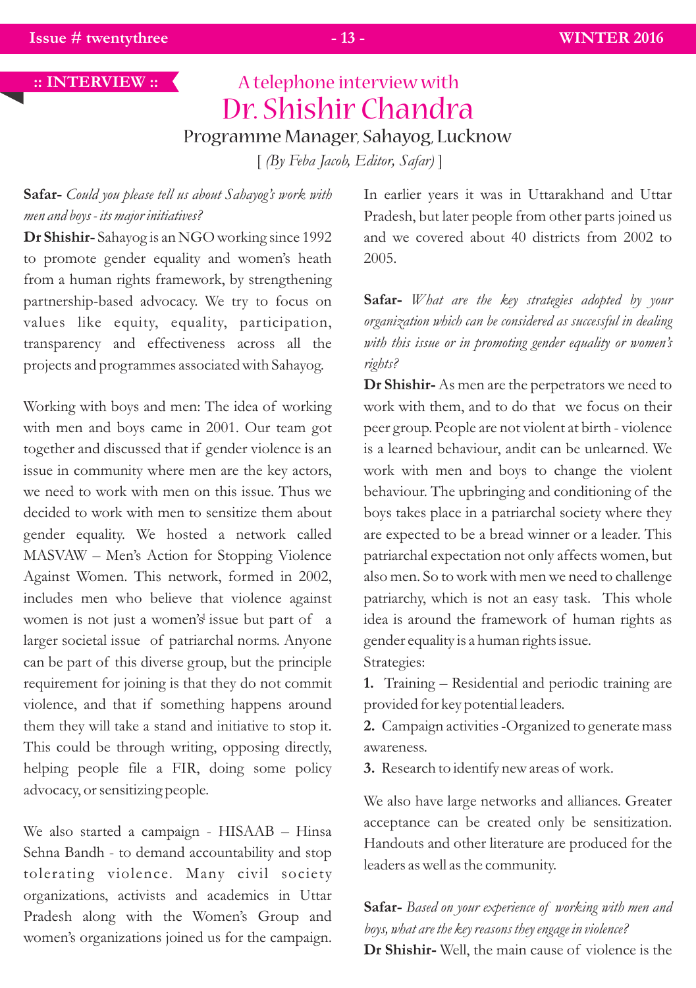#### **:: INTERVIEW ::**

# A telephone interview with Dr. Shishir Chandra Programme Manager, Sahayog, Lucknow

[ *(By Feba Jacob, Editor, Safar)* ]

**Safar-** *Could you please tell us about Sahayog's work with men and boys - its major initiatives?*

**Dr Shishir-** Sahayog is an NGO working since 1992 to promote gender equality and women's heath from a human rights framework, by strengthening partnership-based advocacy. We try to focus on values like equity, equality, participation, transparency and effectiveness across all the projects and programmes associated with Sahayog.

Working with boys and men: The idea of working with men and boys came in 2001. Our team got together and discussed that if gender violence is an issue in community where men are the key actors, we need to work with men on this issue. Thus we decided to work with men to sensitize them about gender equality. We hosted a network called MASVAW – Men's Action for Stopping Violence Against Women. This network, formed in 2002, includes men who believe that violence against women is not just a women's issue but part of a larger societal issue of patriarchal norms. Anyone can be part of this diverse group, but the principle requirement for joining is that they do not commit violence, and that if something happens around them they will take a stand and initiative to stop it. This could be through writing, opposing directly, helping people file a FIR, doing some policy advocacy, or sensitizing people.

We also started a campaign - HISAAB – Hinsa Sehna Bandh - to demand accountability and stop tolerating violence. Many civil society organizations, activists and academics in Uttar Pradesh along with the Women's Group and women's organizations joined us for the campaign. In earlier years it was in Uttarakhand and Uttar Pradesh, but later people from other parts joined us and we covered about 40 districts from 2002 to 2005.

**Safar-** *What are the key strategies adopted by your organization which can be considered as successful in dealing with this issue or in promoting gender equality or women's rights?*

**Dr Shishir-** As men are the perpetrators we need to work with them, and to do that we focus on their peer group. People are not violent at birth - violence is a learned behaviour, andit can be unlearned. We work with men and boys to change the violent behaviour. The upbringing and conditioning of the boys takes place in a patriarchal society where they are expected to be a bread winner or a leader. This patriarchal expectation not only affects women, but also men. So to work with men we need to challenge patriarchy, which is not an easy task. This whole idea is around the framework of human rights as gender equality is a human rights issue. Strategies:

**1.** Training – Residential and periodic training are provided for key potential leaders.

**2.** Campaign activities -Organized to generate mass awareness.

**3.** Research to identify new areas of work.

We also have large networks and alliances. Greater acceptance can be created only be sensitization. Handouts and other literature are produced for the leaders as well as the community.

**Safar-** *Based on your experience of working with men and boys, what are the key reasons they engage in violence?*  **Dr Shishir-** Well, the main cause of violence is the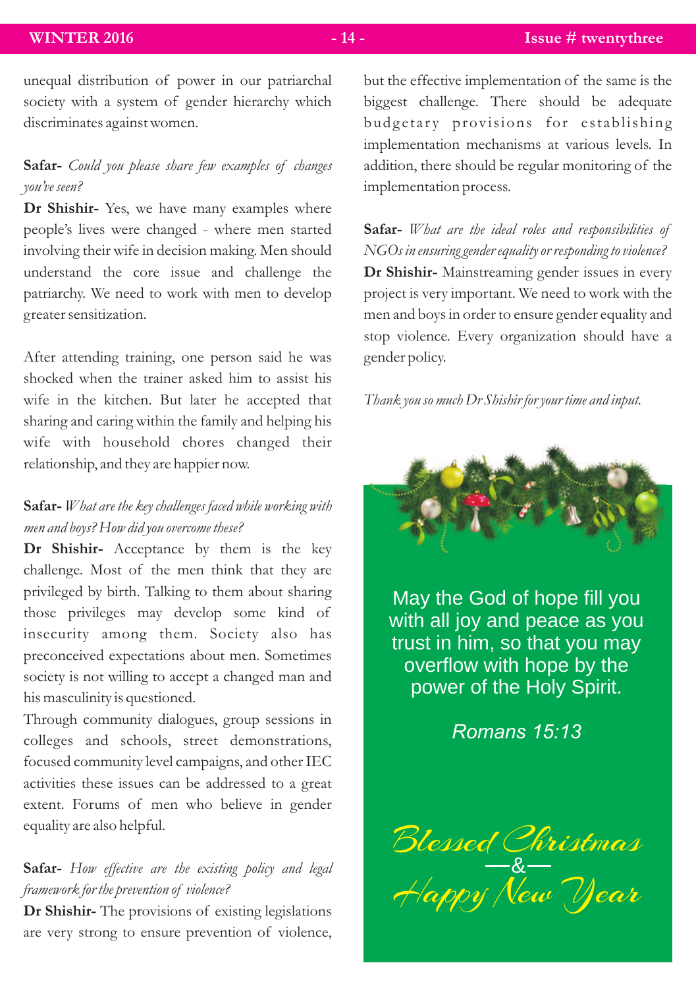unequal distribution of power in our patriarchal society with a system of gender hierarchy which discriminates against women.

### **Safar-** *Could you please share few examples of changes you've seen?*

**Dr Shishir-** Yes, we have many examples where people's lives were changed - where men started involving their wife in decision making. Men should understand the core issue and challenge the patriarchy. We need to work with men to develop greater sensitization.

After attending training, one person said he was shocked when the trainer asked him to assist his wife in the kitchen. But later he accepted that sharing and caring within the family and helping his wife with household chores changed their relationship, and they are happier now.

### **Safar-** *What are the key challenges faced while working with men and boys? How did you overcome these?*

**Dr Shishir-** Acceptance by them is the key challenge. Most of the men think that they are privileged by birth. Talking to them about sharing those privileges may develop some kind of insecurity among them. Society also has preconceived expectations about men. Sometimes society is not willing to accept a changed man and his masculinity is questioned.

Through community dialogues, group sessions in colleges and schools, street demonstrations, focused community level campaigns, and other IEC activities these issues can be addressed to a great extent. Forums of men who believe in gender equality are also helpful.

### **Safar-** *How effective are the existing policy and legal framework for the prevention of violence?*

**Dr Shishir-** The provisions of existing legislations are very strong to ensure prevention of violence, but the effective implementation of the same is the biggest challenge. There should be adequate budgetary provisions for establishing implementation mechanisms at various levels. In addition, there should be regular monitoring of the implementation process.

**Safar-** *What are the ideal roles and responsibilities of NGOs in ensuring gender equality or responding to violence?* **Dr Shishir-** Mainstreaming gender issues in every project is very important. We need to work with the men and boys in order to ensure gender equality and stop violence. Every organization should have a gender policy.

#### *Thank you so much Dr Shishir for your time and input.*



May the God of hope fill you with all joy and peace as you trust in him, so that you may overflow with hope by the power of the Holy Spirit.

*Romans 15:13*

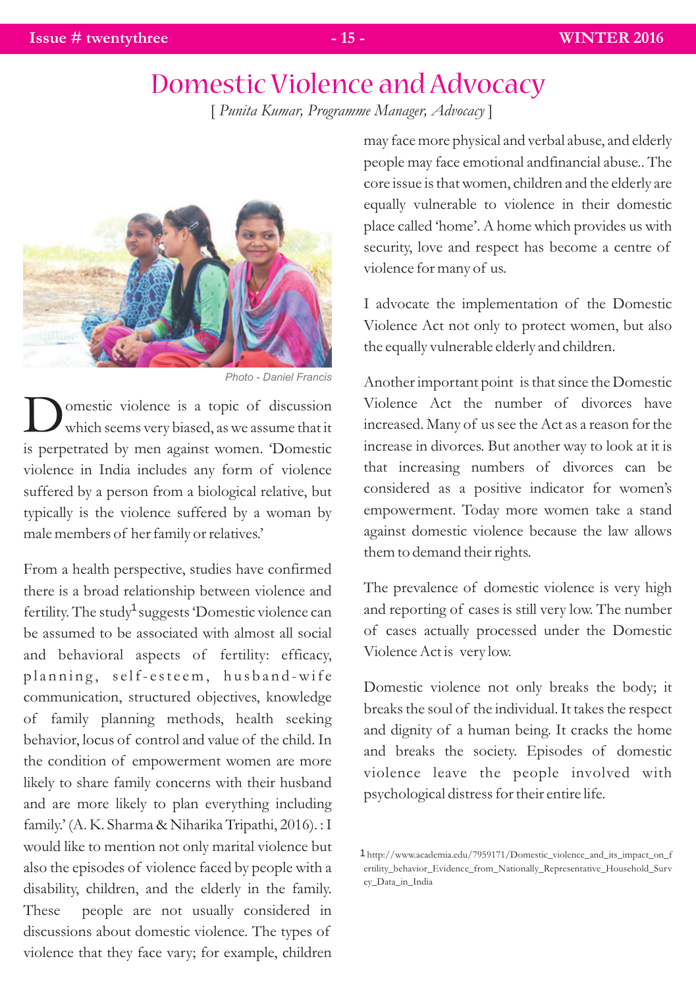# Domestic Violence and Advocacy

[ *Punita Kumar, Programme Manager, Advocacy* ]



*Photo - Daniel Francis* 

omestic violence is a topic of discussion which seems very biased, as we assume that it is perpetrated by men against women. 'Domestic violence in India includes any form of violence suffered by a person from a biological relative, but typically is the violence suffered by a woman by male members of her family or relatives.'

From a health perspective, studies have confirmed there is a broad relationship between violence and fertility. The study<sup>1</sup> suggests 'Domestic violence can be assumed to be associated with almost all social and behavioral aspects of fertility: efficacy, planning, self-esteem, husband-wife communication, structured objectives, knowledge of family planning methods, health seeking behavior, locus of control and value of the child. In the condition of empowerment women are more likely to share family concerns with their husband and are more likely to plan everything including family.' (A. K. Sharma & Niharika Tripathi, 2016). : I would like to mention not only marital violence but also the episodes of violence faced by people with a disability, children, and the elderly in the family. These people are not usually considered in discussions about domestic violence. The types of violence that they face vary; for example, children

may face more physical and verbal abuse, and elderly people may face emotional andfinancial abuse.. The core issue is that women, children and the elderly are equally vulnerable to violence in their domestic place called 'home'. A home which provides us with security, love and respect has become a centre of violence for many of us.

I advocate the implementation of the Domestic Violence Act not only to protect women, but also the equally vulnerable elderly and children.

Another important point is that since the Domestic Violence Act the number of divorces have increased. Many of us see the Act as a reason for the increase in divorces. But another way to look at it is that increasing numbers of divorces can be considered as a positive indicator for women's empowerment. Today more women take a stand against domestic violence because the law allows them to demand their rights.

The prevalence of domestic violence is very high and reporting of cases is still very low. The number of cases actually processed under the Domestic Violence Act is very low.

Domestic violence not only breaks the body; it breaks the soul of the individual. It takes the respect and dignity of a human being. It cracks the home and breaks the society. Episodes of domestic violence leave the people involved with psychological distress for their entire life.

http://www.academia.edu/7959171/Domestic\_violence\_and\_its\_impact\_on\_f 1 ertility\_behavior\_Evidence\_from\_Nationally\_Representative\_Household\_Surv ey\_Data\_in\_India